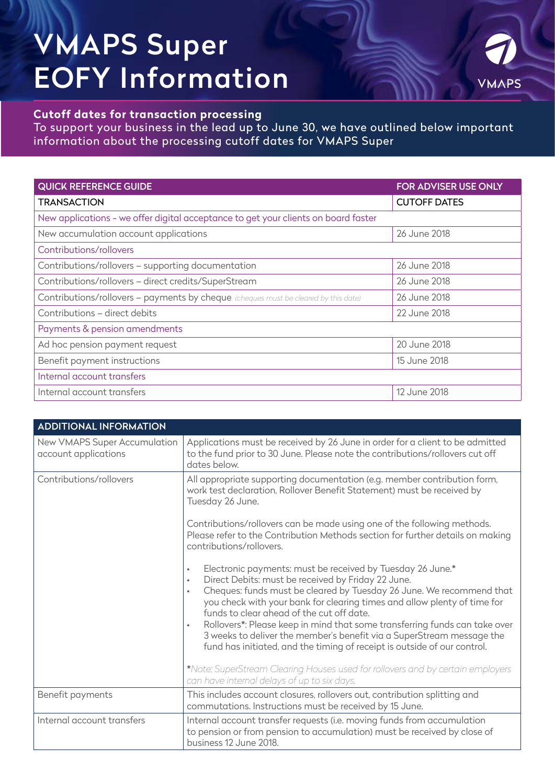# VMAPS Super EOFY Information



### **Cutoff dates for transaction processing**

To support your business in the lead up to June 30, we have outlined below important information about the processing cutoff dates for VMAPS Super

| <b>QUICK REFERENCE GUIDE</b>                                                        | <b>FOR ADVISER USE ONLY</b> |  |
|-------------------------------------------------------------------------------------|-----------------------------|--|
| <b>TRANSACTION</b>                                                                  | <b>CUTOFF DATES</b>         |  |
| New applications - we offer digital acceptance to get your clients on board faster  |                             |  |
| New accumulation account applications                                               | 26 June 2018                |  |
| Contributions/rollovers                                                             |                             |  |
| Contributions/rollovers - supporting documentation                                  | 26 June 2018                |  |
| Contributions/rollovers - direct credits/SuperStream                                | 26 June 2018                |  |
| Contributions/rollovers - payments by cheque (cheques must be cleared by this date) | 26 June 2018                |  |
| Contributions - direct debits                                                       | 22 June 2018                |  |
| Payments & pension amendments                                                       |                             |  |
| Ad hoc pension payment request                                                      | 20 June 2018                |  |
| Benefit payment instructions                                                        | 15 June 2018                |  |
| Internal account transfers                                                          |                             |  |
| Internal account transfers                                                          | 12 June 2018                |  |

| <b>ADDITIONAL INFORMATION</b>                        |                                                                                                                                                                                                                                                                                                                                                                                                                                                                                                                                                                                                                                                                                                                                           |
|------------------------------------------------------|-------------------------------------------------------------------------------------------------------------------------------------------------------------------------------------------------------------------------------------------------------------------------------------------------------------------------------------------------------------------------------------------------------------------------------------------------------------------------------------------------------------------------------------------------------------------------------------------------------------------------------------------------------------------------------------------------------------------------------------------|
| New VMAPS Super Accumulation<br>account applications | Applications must be received by 26 June in order for a client to be admitted<br>to the fund prior to 30 June. Please note the contributions/rollovers cut off<br>dates below.                                                                                                                                                                                                                                                                                                                                                                                                                                                                                                                                                            |
| Contributions/rollovers                              | All appropriate supporting documentation (e.g. member contribution form,<br>work test declaration, Rollover Benefit Statement) must be received by<br>Tuesday 26 June.<br>Contributions/rollovers can be made using one of the following methods.<br>Please refer to the Contribution Methods section for further details on making<br>contributions/rollovers.                                                                                                                                                                                                                                                                                                                                                                           |
|                                                      | Electronic payments: must be received by Tuesday 26 June.*<br>$\bullet$<br>Direct Debits: must be received by Friday 22 June.<br>$\bullet$<br>Cheques: funds must be cleared by Tuesday 26 June. We recommend that<br>$\bullet$<br>you check with your bank for clearing times and allow plenty of time for<br>funds to clear ahead of the cut off date.<br>Rollovers*: Please keep in mind that some transferring funds can take over<br>$\bullet$<br>3 weeks to deliver the member's benefit via a SuperStream message the<br>fund has initiated, and the timing of receipt is outside of our control.<br>*Note: SuperStream Clearing Houses used for rollovers and by certain employers<br>can have internal delays of up to six days. |
| Benefit payments                                     | This includes account closures, rollovers out, contribution splitting and<br>commutations. Instructions must be received by 15 June.                                                                                                                                                                                                                                                                                                                                                                                                                                                                                                                                                                                                      |
| Internal account transfers                           | Internal account transfer requests (i.e. moving funds from accumulation<br>to pension or from pension to accumulation) must be received by close of<br>business 12 June 2018.                                                                                                                                                                                                                                                                                                                                                                                                                                                                                                                                                             |